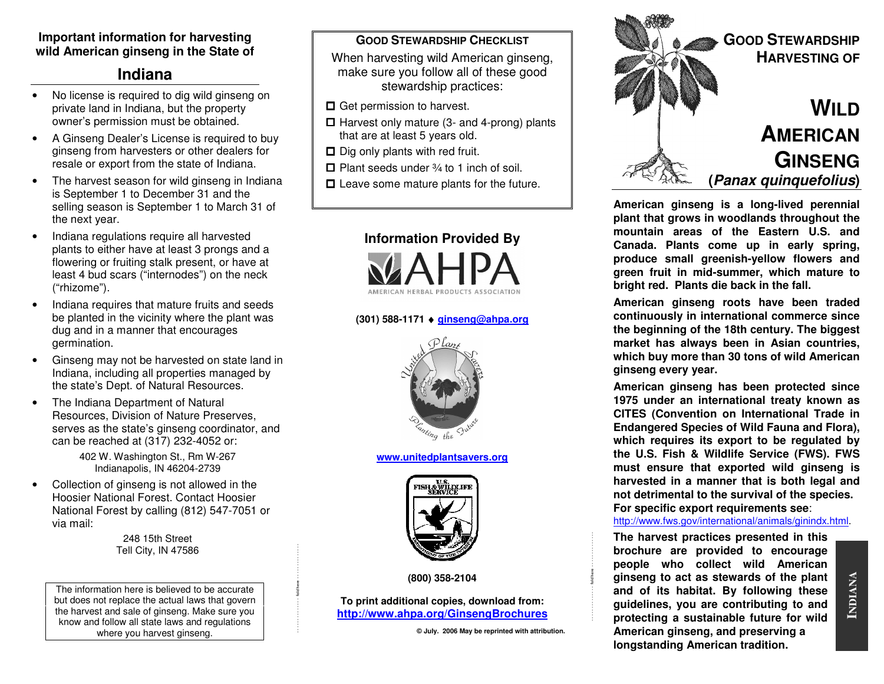#### **Important information for harvesting wild American ginseng in the State of**

## **Indiana**

- No license is required to dig wild ginseng on private land in Indiana, but the property owner's permission must be obtained.
- A Ginseng Dealer's License is required to buy ginseng from harvesters or other dealers for resale or export from the state of Indiana.
- The harvest season for wild ginseng in Indiana is September 1 to December 31 and the selling season is September 1 to March 31 of the next year.
- Indiana regulations require all harvested plants to either have at least 3 prongs and a flowering or fruiting stalk present, or have at least 4 bud scars ("internodes") on the neck ("rhizome").
- Indiana requires that mature fruits and seeds be planted in the vicinity where the plant was dug and in a manner that encourages germination.
- Ginseng may not be harvested on state land in Indiana, including all properties managed by the state's Dept. of Natural Resources.
- The Indiana Department of Natural Resources, Division of Nature Preserves, serves as the state's ginseng coordinator, and can be reached at (317) 232-4052 or:

402 W. Washington St., Rm W-267 Indianapolis, IN 46204-2739

• Collection of ginseng is not allowed in the Hoosier National Forest. Contact Hoosier National Forest by calling (812) 547-7051 or via mail:

> 248 15th Street Tell City, IN 47586

The information here is believed to be accurate but does not replace the actual laws that govern the harvest and sale of ginseng. Make sure you know and follow all state laws and regulations where you harvest ginseng.

#### **GOOD STEWARDSHIP CHECKLIST**

 When harvesting wild American ginseng, make sure you follow all of these good stewardship practices:

- **□** Get permission to harvest.
- $\Box$  Harvest only mature (3- and 4-prong) plants that are at least 5 years old.
- $\Box$  Dig only plants with red fruit.
- $\Box$  Plant seeds under  $\frac{3}{4}$  to 1 inch of soil.
- $\square$  Leave some mature plants for the future.



# **(301) 588-1171** ♦ **ginseng@ahpa.org**



**www.unitedplantsavers.org**



**(800) 358-2104** 

- - - - - - - - - - - - - fold here - - - - - - - - - - - - - -

**To print additional copies, download from: http://www.ahpa.org/GinsengBrochures**

**© July. 2006 May be reprinted with attribution.** 

- - - - - - - - - - - - - fold here - - - - - - - - - - - - - -



**American ginseng is a long-lived perennial plant that grows in woodlands throughout the mountain areas of the Eastern U.S. and Canada. Plants come up in early spring, produce small greenish-yellow flowers and green fruit in mid-summer, which mature to bright red. Plants die back in the fall.** 

**American ginseng roots have been traded continuously in international commerce since the beginning of the 18th century. The biggest market has always been in Asian countries, which buy more than 30 tons of wild American ginseng every year.** 

**American ginseng has been protected since 1975 under an international treaty known as CITES (Convention on International Trade in Endangered Species of Wild Fauna and Flora), which requires its export to be regulated by the U.S. Fish & Wildlife Service (FWS). FWS must ensure that exported wild ginseng is harvested in a manner that is both legal and not detrimental to the survival of the species. For specific export requirements see**:

#### http://www.fws.gov/international/animals/ginindx.html.

**The harvest practices presented in this brochure are provided to encourage people who collect wild American ginseng to act as stewards of the plant and of its habitat. By following these guidelines, you are contributing to and protecting a sustainable future for wild American ginseng, and preserving a longstanding American tradition.**